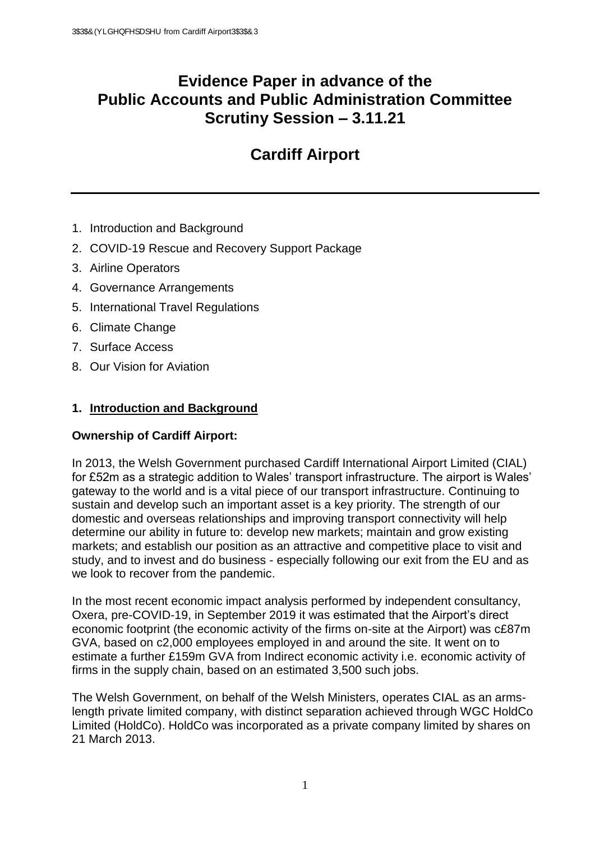# **Evidence Paper in advance of the Public Accounts and Public Administration Committee Scrutiny Session – 3.11.21**

# **Cardiff Airport**

- 1. Introduction and Background
- 2. COVID-19 Rescue and Recovery Support Package
- 3. Airline Operators
- 4. Governance Arrangements
- 5. International Travel Regulations
- 6. Climate Change
- 7. Surface Access
- 8. Our Vision for Aviation

## **1. Introduction and Background**

## **Ownership of Cardiff Airport:**

In 2013, the Welsh Government purchased Cardiff International Airport Limited (CIAL) for £52m as a strategic addition to Wales' transport infrastructure. The airport is Wales' gateway to the world and is a vital piece of our transport infrastructure. Continuing to sustain and develop such an important asset is a key priority. The strength of our domestic and overseas relationships and improving transport connectivity will help determine our ability in future to: develop new markets; maintain and grow existing markets; and establish our position as an attractive and competitive place to visit and study, and to invest and do business - especially following our exit from the EU and as we look to recover from the pandemic.

In the most recent economic impact analysis performed by independent consultancy, Oxera, pre-COVID-19, in September 2019 it was estimated that the Airport's direct economic footprint (the economic activity of the firms on-site at the Airport) was c£87m GVA, based on c2,000 employees employed in and around the site. It went on to estimate a further £159m GVA from Indirect economic activity i.e. economic activity of firms in the supply chain, based on an estimated 3,500 such jobs.

The Welsh Government, on behalf of the Welsh Ministers, operates CIAL as an armslength private limited company, with distinct separation achieved through WGC HoldCo Limited (HoldCo). HoldCo was incorporated as a private company limited by shares on 21 March 2013.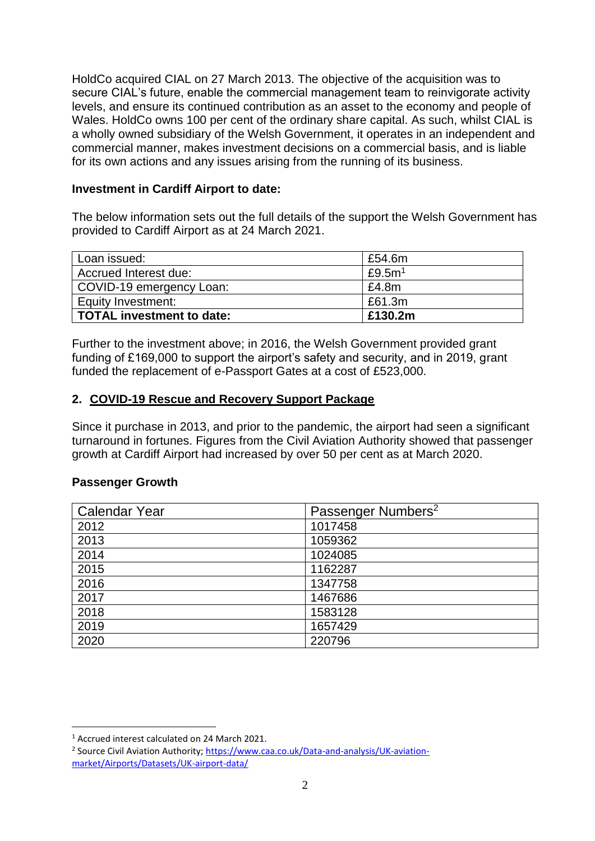HoldCo acquired CIAL on 27 March 2013. The objective of the acquisition was to secure CIAL's future, enable the commercial management team to reinvigorate activity levels, and ensure its continued contribution as an asset to the economy and people of Wales. HoldCo owns 100 per cent of the ordinary share capital. As such, whilst CIAL is a wholly owned subsidiary of the Welsh Government, it operates in an independent and commercial manner, makes investment decisions on a commercial basis, and is liable for its own actions and any issues arising from the running of its business.

#### **Investment in Cardiff Airport to date:**

The below information sets out the full details of the support the Welsh Government has provided to Cardiff Airport as at 24 March 2021.

| Loan issued:              | £54.6m    |
|---------------------------|-----------|
| Accrued Interest due:     | £9.5 $m1$ |
| COVID-19 emergency Loan:  | £4.8m     |
| Equity Investment:        | £61.3m    |
| TOTAL investment to date: | £130.2m   |

Further to the investment above; in 2016, the Welsh Government provided grant funding of £169,000 to support the airport's safety and security, and in 2019, grant funded the replacement of e-Passport Gates at a cost of £523,000.

## **2. COVID-19 Rescue and Recovery Support Package**

Since it purchase in 2013, and prior to the pandemic, the airport had seen a significant turnaround in fortunes. Figures from the Civil Aviation Authority showed that passenger growth at Cardiff Airport had increased by over 50 per cent as at March 2020.

#### **Passenger Growth**

| <b>Calendar Year</b> | Passenger Numbers <sup>2</sup> |  |
|----------------------|--------------------------------|--|
| 2012                 | 1017458                        |  |
| 2013                 | 1059362                        |  |
| 2014                 | 1024085                        |  |
| 2015                 | 1162287                        |  |
| 2016                 | 1347758                        |  |
| 2017                 | 1467686                        |  |
| 2018                 | 1583128                        |  |
| 2019                 | 1657429                        |  |
| 2020                 | 220796                         |  |

<u>.</u>

<sup>1</sup> Accrued interest calculated on 24 March 2021.

<sup>&</sup>lt;sup>2</sup> Source Civil Aviation Authority; [https://www.caa.co.uk/Data-and-analysis/UK-aviation](https://www.caa.co.uk/Data-and-analysis/UK-aviation-market/Airports/Datasets/UK-airport-data/)[market/Airports/Datasets/UK-airport-data/](https://www.caa.co.uk/Data-and-analysis/UK-aviation-market/Airports/Datasets/UK-airport-data/)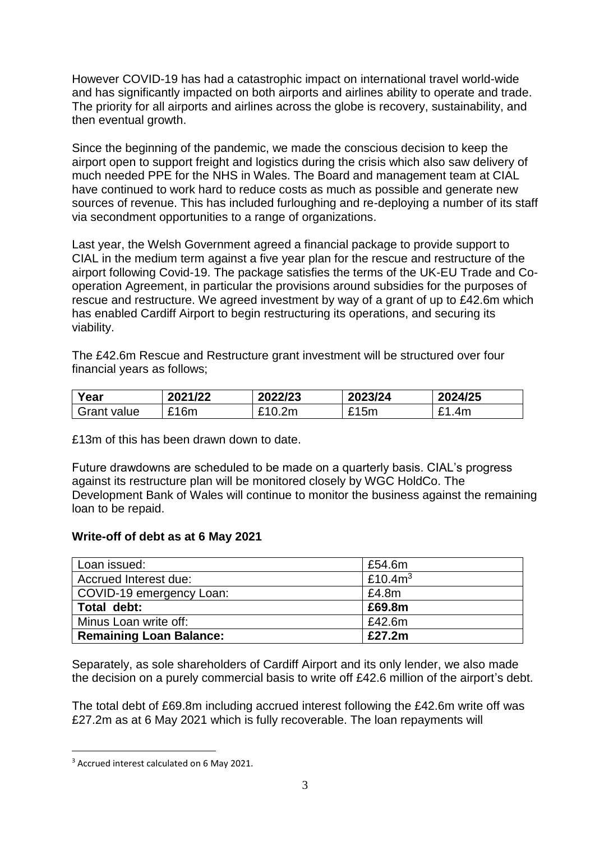However COVID-19 has had a catastrophic impact on international travel world-wide and has significantly impacted on both airports and airlines ability to operate and trade. The priority for all airports and airlines across the globe is recovery, sustainability, and then eventual growth.

Since the beginning of the pandemic, we made the conscious decision to keep the airport open to support freight and logistics during the crisis which also saw delivery of much needed PPE for the NHS in Wales. The Board and management team at CIAL have continued to work hard to reduce costs as much as possible and generate new sources of revenue. This has included furloughing and re-deploying a number of its staff via secondment opportunities to a range of organizations.

Last year, the Welsh Government agreed a financial package to provide support to CIAL in the medium term against a five year plan for the rescue and restructure of the airport following Covid-19. The package satisfies the terms of the UK-EU Trade and Cooperation Agreement, in particular the provisions around subsidies for the purposes of rescue and restructure. We agreed investment by way of a grant of up to £42.6m which has enabled Cardiff Airport to begin restructuring its operations, and securing its viability.

The £42.6m Rescue and Restructure grant investment will be structured over four financial years as follows;

| Year        | 2021/22          | 2022/23 | 2023/24 | 2024/25   |
|-------------|------------------|---------|---------|-----------|
| Grant value | <sub>ີ</sub> 16m | £10.2m  | £15m    | 1.4m<br>- |

£13m of this has been drawn down to date.

Future drawdowns are scheduled to be made on a quarterly basis. CIAL's progress against its restructure plan will be monitored closely by WGC HoldCo. The Development Bank of Wales will continue to monitor the business against the remaining loan to be repaid.

#### **Write-off of debt as at 6 May 2021**

| Loan issued:                   | £54.6m     |
|--------------------------------|------------|
| Accrued Interest due:          | £10.4 $m3$ |
| COVID-19 emergency Loan:       | £4.8m      |
| Total debt:                    | £69.8m     |
| Minus Loan write off:          | £42.6m     |
| <b>Remaining Loan Balance:</b> | £27.2m     |

Separately, as sole shareholders of Cardiff Airport and its only lender, we also made the decision on a purely commercial basis to write off £42.6 million of the airport's debt.

The total debt of £69.8m including accrued interest following the £42.6m write off was £27.2m as at 6 May 2021 which is fully recoverable. The loan repayments will

<u>.</u>

<sup>&</sup>lt;sup>3</sup> Accrued interest calculated on 6 May 2021.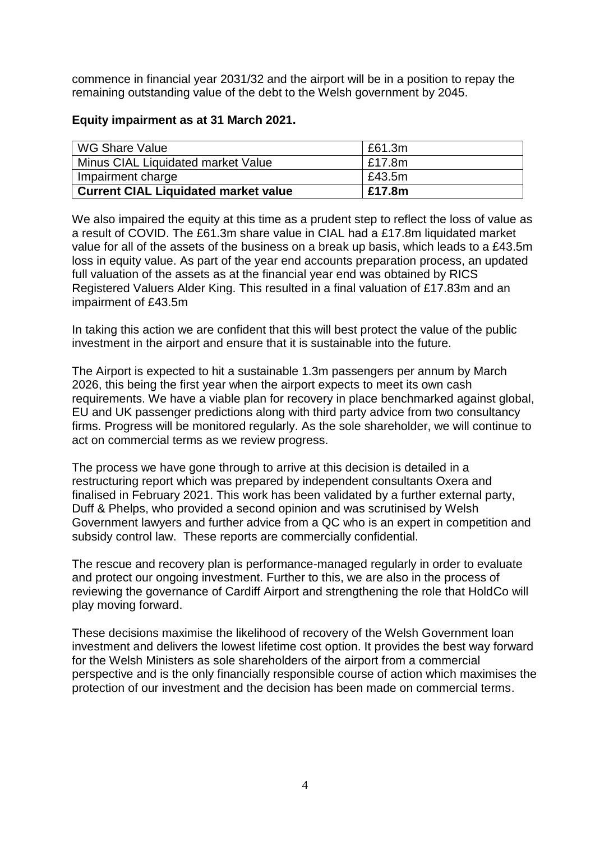commence in financial year 2031/32 and the airport will be in a position to repay the remaining outstanding value of the debt to the Welsh government by 2045.

#### **Equity impairment as at 31 March 2021.**

| l WG Share Value                            | £61.3m |
|---------------------------------------------|--------|
| Minus CIAL Liquidated market Value          | £17.8m |
| Impairment charge                           | £43.5m |
| <b>Current CIAL Liquidated market value</b> | £17.8m |

We also impaired the equity at this time as a prudent step to reflect the loss of value as a result of COVID. The £61.3m share value in CIAL had a £17.8m liquidated market value for all of the assets of the business on a break up basis, which leads to a £43.5m loss in equity value. As part of the year end accounts preparation process, an updated full valuation of the assets as at the financial year end was obtained by RICS Registered Valuers Alder King. This resulted in a final valuation of £17.83m and an impairment of £43.5m

In taking this action we are confident that this will best protect the value of the public investment in the airport and ensure that it is sustainable into the future.

The Airport is expected to hit a sustainable 1.3m passengers per annum by March 2026, this being the first year when the airport expects to meet its own cash requirements. We have a viable plan for recovery in place benchmarked against global, EU and UK passenger predictions along with third party advice from two consultancy firms. Progress will be monitored regularly. As the sole shareholder, we will continue to act on commercial terms as we review progress.

The process we have gone through to arrive at this decision is detailed in a restructuring report which was prepared by independent consultants Oxera and finalised in February 2021. This work has been validated by a further external party, Duff & Phelps, who provided a second opinion and was scrutinised by Welsh Government lawyers and further advice from a QC who is an expert in competition and subsidy control law. These reports are commercially confidential.

The rescue and recovery plan is performance-managed regularly in order to evaluate and protect our ongoing investment. Further to this, we are also in the process of reviewing the governance of Cardiff Airport and strengthening the role that HoldCo will play moving forward.

These decisions maximise the likelihood of recovery of the Welsh Government loan investment and delivers the lowest lifetime cost option. It provides the best way forward for the Welsh Ministers as sole shareholders of the airport from a commercial perspective and is the only financially responsible course of action which maximises the protection of our investment and the decision has been made on commercial terms.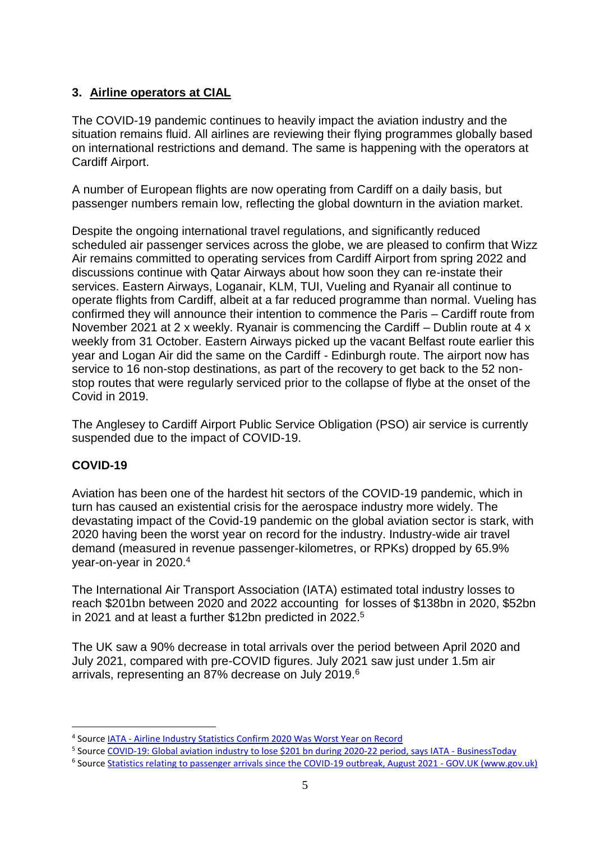## **3. Airline operators at CIAL**

The COVID-19 pandemic continues to heavily impact the aviation industry and the situation remains fluid. All airlines are reviewing their flying programmes globally based on international restrictions and demand. The same is happening with the operators at Cardiff Airport.

A number of European flights are now operating from Cardiff on a daily basis, but passenger numbers remain low, reflecting the global downturn in the aviation market.

Despite the ongoing international travel regulations, and significantly reduced scheduled air passenger services across the globe, we are pleased to confirm that Wizz Air remains committed to operating services from Cardiff Airport from spring 2022 and discussions continue with Qatar Airways about how soon they can re-instate their services. Eastern Airways, Loganair, KLM, TUI, Vueling and Ryanair all continue to operate flights from Cardiff, albeit at a far reduced programme than normal. Vueling has confirmed they will announce their intention to commence the Paris – Cardiff route from November 2021 at 2 x weekly. Ryanair is commencing the Cardiff – Dublin route at 4 x weekly from 31 October. Eastern Airways picked up the vacant Belfast route earlier this year and Logan Air did the same on the Cardiff - Edinburgh route. The airport now has service to 16 non-stop destinations, as part of the recovery to get back to the 52 nonstop routes that were regularly serviced prior to the collapse of flybe at the onset of the Covid in 2019.

The Anglesey to Cardiff Airport Public Service Obligation (PSO) air service is currently suspended due to the impact of COVID-19.

## **COVID-19**

<u>.</u>

Aviation has been one of the hardest hit sectors of the COVID-19 pandemic, which in turn has caused an existential crisis for the aerospace industry more widely. The devastating impact of the Covid-19 pandemic on the global aviation sector is stark, with 2020 having been the worst year on record for the industry. Industry-wide air travel demand (measured in revenue passenger-kilometres, or RPKs) dropped by 65.9% year-on-year in 2020.<sup>4</sup>

The International Air Transport Association (IATA) estimated total industry losses to reach \$201bn between 2020 and 2022 accounting for losses of \$138bn in 2020, \$52bn in 2021 and at least a further \$12bn predicted in 2022. 5

The UK saw a 90% decrease in total arrivals over the period between April 2020 and July 2021, compared with pre-COVID figures. July 2021 saw just under 1.5m air arrivals, representing an 87% decrease on July 2019.<sup>6</sup>

<sup>&</sup>lt;sup>4</sup> Source **IATA - [Airline Industry Statistics Confirm 2020 Was Worst Year on Record](https://www.iata.org/en/pressroom/pr/2021-08-03-01/)** 

<sup>&</sup>lt;sup>5</sup> Sourc[e COVID-19: Global aviation industry to lose \\$201 bn during 2020-22 period, says IATA -](https://www.businesstoday.in/industry/aviation/story/covid-19-global-aviation-industry-to-lose-201-bn-during-2020-22-period-says-iata-308513-2021-10-05) BusinessToday

<sup>&</sup>lt;sup>6</sup> Sourc[e Statistics relating to passenger arrivals since the COVID-19 outbreak, August 2021 -](https://www.gov.uk/government/statistics/statistics-relating-to-passenger-arrivals-since-the-covid-19-outbreak-august-2021/statistics-relating-to-passenger-arrivals-since-the-covid-19-outbreak-august-2021) GOV.UK (www.gov.uk)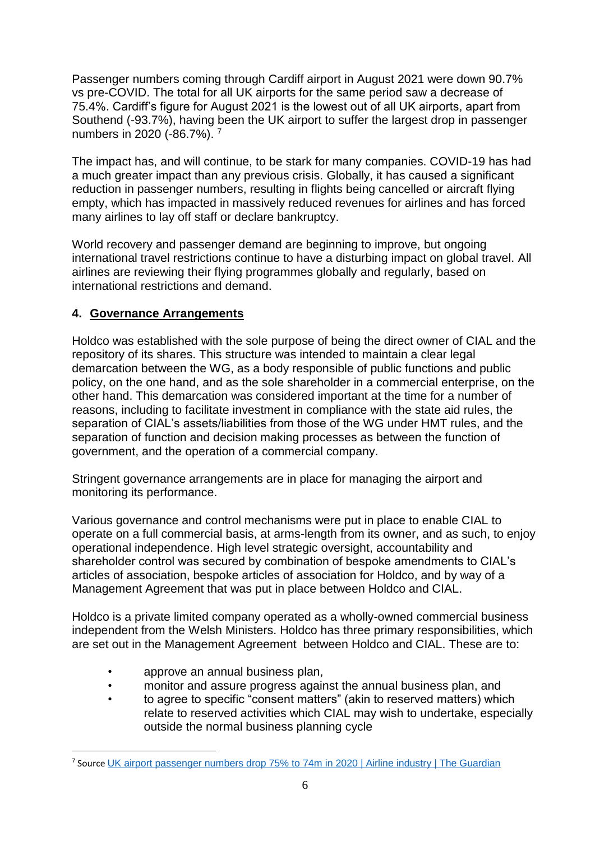Passenger numbers coming through Cardiff airport in August 2021 were down 90.7% vs pre-COVID. The total for all UK airports for the same period saw a decrease of 75.4%. Cardiff's figure for August 2021 is the lowest out of all UK airports, apart from Southend (-93.7%), having been the UK airport to suffer the largest drop in passenger numbers in 2020 (-86.7%). 7

The impact has, and will continue, to be stark for many companies. COVID-19 has had a much greater impact than any previous crisis. Globally, it has caused a significant reduction in passenger numbers, resulting in flights being cancelled or aircraft flying empty, which has impacted in massively reduced revenues for airlines and has forced many airlines to lay off staff or declare bankruptcy.

World recovery and passenger demand are beginning to improve, but ongoing international travel restrictions continue to have a disturbing impact on global travel. All airlines are reviewing their flying programmes globally and regularly, based on international restrictions and demand.

## **4. Governance Arrangements**

Holdco was established with the sole purpose of being the direct owner of CIAL and the repository of its shares. This structure was intended to maintain a clear legal demarcation between the WG, as a body responsible of public functions and public policy, on the one hand, and as the sole shareholder in a commercial enterprise, on the other hand. This demarcation was considered important at the time for a number of reasons, including to facilitate investment in compliance with the state aid rules, the separation of CIAL's assets/liabilities from those of the WG under HMT rules, and the separation of function and decision making processes as between the function of government, and the operation of a commercial company.

Stringent governance arrangements are in place for managing the airport and monitoring its performance.

Various governance and control mechanisms were put in place to enable CIAL to operate on a full commercial basis, at arms-length from its owner, and as such, to enjoy operational independence. High level strategic oversight, accountability and shareholder control was secured by combination of bespoke amendments to CIAL's articles of association, bespoke articles of association for Holdco, and by way of a Management Agreement that was put in place between Holdco and CIAL.

Holdco is a private limited company operated as a wholly-owned commercial business independent from the Welsh Ministers. Holdco has three primary responsibilities, which are set out in the Management Agreement between Holdco and CIAL. These are to:

• approve an annual business plan,

<u>.</u>

- monitor and assure progress against the annual business plan, and
- to agree to specific "consent matters" (akin to reserved matters) which relate to reserved activities which CIAL may wish to undertake, especially outside the normal business planning cycle

<sup>&</sup>lt;sup>7</sup> Source [UK airport passenger numbers drop 75% to 74m in 2020 | Airline industry | The Guardian](https://www.theguardian.com/business/2021/jun/13/uk-airport-passenger-numbers-drop-75-to-74-million-in-2020)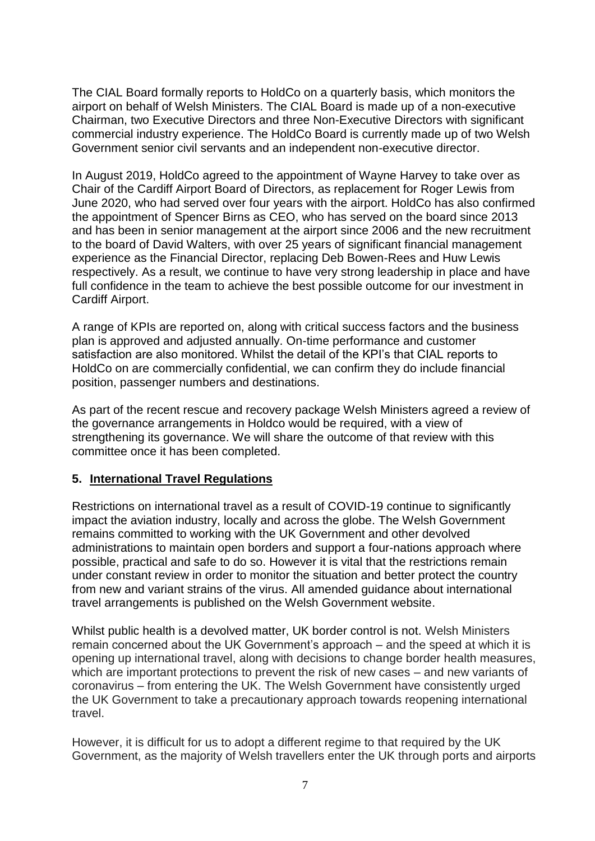The CIAL Board formally reports to HoldCo on a quarterly basis, which monitors the airport on behalf of Welsh Ministers. The CIAL Board is made up of a non-executive Chairman, two Executive Directors and three Non-Executive Directors with significant commercial industry experience. The HoldCo Board is currently made up of two Welsh Government senior civil servants and an independent non-executive director.

In August 2019, HoldCo agreed to the appointment of Wayne Harvey to take over as Chair of the Cardiff Airport Board of Directors, as replacement for Roger Lewis from June 2020, who had served over four years with the airport. HoldCo has also confirmed the appointment of Spencer Birns as CEO, who has served on the board since 2013 and has been in senior management at the airport since 2006 and the new recruitment to the board of David Walters, with over 25 years of significant financial management experience as the Financial Director, replacing Deb Bowen-Rees and Huw Lewis respectively. As a result, we continue to have very strong leadership in place and have full confidence in the team to achieve the best possible outcome for our investment in Cardiff Airport.

A range of KPIs are reported on, along with critical success factors and the business plan is approved and adjusted annually. On-time performance and customer satisfaction are also monitored. Whilst the detail of the KPI's that CIAL reports to HoldCo on are commercially confidential, we can confirm they do include financial position, passenger numbers and destinations.

As part of the recent rescue and recovery package Welsh Ministers agreed a review of the governance arrangements in Holdco would be required, with a view of strengthening its governance. We will share the outcome of that review with this committee once it has been completed.

#### **5. International Travel Regulations**

Restrictions on international travel as a result of COVID-19 continue to significantly impact the aviation industry, locally and across the globe. The Welsh Government remains committed to working with the UK Government and other devolved administrations to maintain open borders and support a four-nations approach where possible, practical and safe to do so. However it is vital that the restrictions remain under constant review in order to monitor the situation and better protect the country from new and variant strains of the virus. All amended guidance about international travel arrangements is published on the Welsh Government website.

Whilst public health is a devolved matter, UK border control is not. Welsh Ministers remain concerned about the UK Government's approach – and the speed at which it is opening up international travel, along with decisions to change border health measures, which are important protections to prevent the risk of new cases – and new variants of coronavirus – from entering the UK. The Welsh Government have consistently urged the UK Government to take a precautionary approach towards reopening international travel.

However, it is difficult for us to adopt a different regime to that required by the UK Government, as the majority of Welsh travellers enter the UK through ports and airports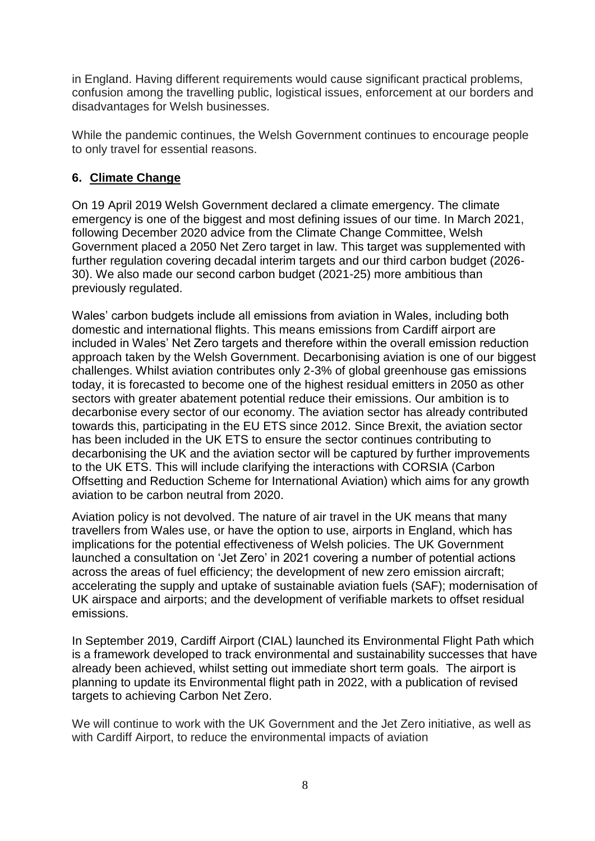in England. Having different requirements would cause significant practical problems, confusion among the travelling public, logistical issues, enforcement at our borders and disadvantages for Welsh businesses.

While the pandemic continues, the Welsh Government continues to encourage people to only travel for essential reasons.

## **6. Climate Change**

On 19 April 2019 Welsh Government declared a climate emergency. The climate emergency is one of the biggest and most defining issues of our time. In March 2021, following December 2020 advice from the Climate Change Committee, Welsh Government placed a 2050 Net Zero target in law. This target was supplemented with further regulation covering decadal interim targets and our third carbon budget (2026- 30). We also made our second carbon budget (2021-25) more ambitious than previously regulated.

Wales' carbon budgets include all emissions from aviation in Wales, including both domestic and international flights. This means emissions from Cardiff airport are included in Wales' Net Zero targets and therefore within the overall emission reduction approach taken by the Welsh Government. Decarbonising aviation is one of our biggest challenges. Whilst aviation contributes only 2-3% of global greenhouse gas emissions today, it is forecasted to become one of the highest residual emitters in 2050 as other sectors with greater abatement potential reduce their emissions. Our ambition is to decarbonise every sector of our economy. The aviation sector has already contributed towards this, participating in the EU ETS since 2012. Since Brexit, the aviation sector has been included in the UK ETS to ensure the sector continues contributing to decarbonising the UK and the aviation sector will be captured by further improvements to the UK ETS. This will include clarifying the interactions with CORSIA (Carbon Offsetting and Reduction Scheme for International Aviation) which aims for any growth aviation to be carbon neutral from 2020.

Aviation policy is not devolved. The nature of air travel in the UK means that many travellers from Wales use, or have the option to use, airports in England, which has implications for the potential effectiveness of Welsh policies. The UK Government launched a consultation on 'Jet Zero' in 2021 covering a number of potential actions across the areas of fuel efficiency; the development of new zero emission aircraft; accelerating the supply and uptake of sustainable aviation fuels (SAF); modernisation of UK airspace and airports; and the development of verifiable markets to offset residual emissions.

In September 2019, Cardiff Airport (CIAL) launched its Environmental Flight Path which is a framework developed to track environmental and sustainability successes that have already been achieved, whilst setting out immediate short term goals. The airport is planning to update its Environmental flight path in 2022, with a publication of revised targets to achieving Carbon Net Zero.

We will continue to work with the UK Government and the Jet Zero initiative, as well as with Cardiff Airport, to reduce the environmental impacts of aviation